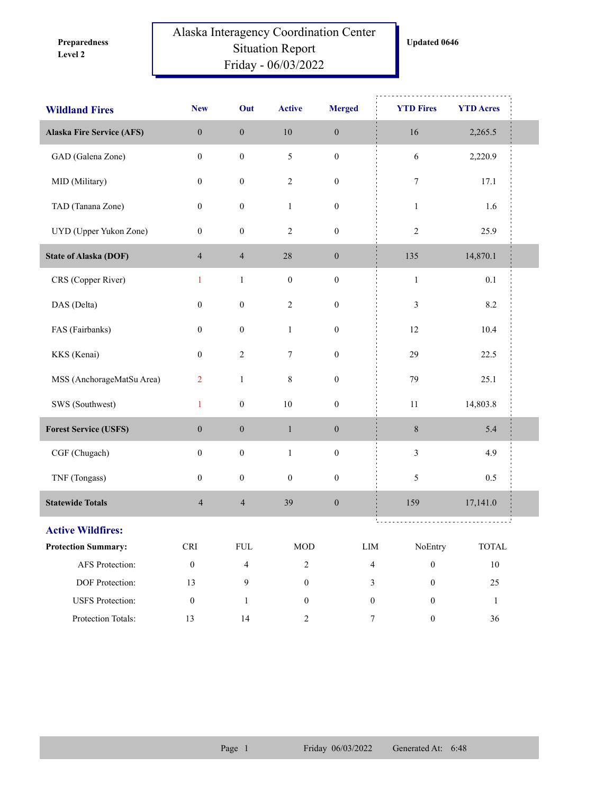**Level 2 Preparedness** 

## Alaska Interagency Coordination Center Situation Report Friday - 06/03/2022

| <b>Wildland Fires</b>            | <b>New</b>           | Out                      | <b>Active</b>    | <b>Merged</b>    | <b>YTD Fires</b>                            | <b>YTD Acres</b> |
|----------------------------------|----------------------|--------------------------|------------------|------------------|---------------------------------------------|------------------|
| <b>Alaska Fire Service (AFS)</b> | $\boldsymbol{0}$     | $\boldsymbol{0}$         | $10\,$           | $\boldsymbol{0}$ | 16                                          | 2,265.5          |
| GAD (Galena Zone)                | $\boldsymbol{0}$     | $\boldsymbol{0}$         | $\mathfrak s$    | $\boldsymbol{0}$ | $\sqrt{6}$                                  | 2,220.9          |
| MID (Military)                   | $\boldsymbol{0}$     | $\boldsymbol{0}$         | $\sqrt{2}$       | $\boldsymbol{0}$ | $\boldsymbol{7}$                            | 17.1             |
| TAD (Tanana Zone)                | $\boldsymbol{0}$     | $\boldsymbol{0}$         | $\mathbf{1}$     | $\boldsymbol{0}$ | $\mathbf{1}$                                | 1.6              |
| UYD (Upper Yukon Zone)           | 0                    | $\boldsymbol{0}$         | $\sqrt{2}$       | $\boldsymbol{0}$ | $\sqrt{2}$                                  | 25.9             |
| <b>State of Alaska (DOF)</b>     | $\overline{4}$       | $\overline{4}$           | $28\,$           | $\boldsymbol{0}$ | 135                                         | 14,870.1         |
| CRS (Copper River)               | $\mathbf{1}$         | $1\,$                    | $\boldsymbol{0}$ | $\boldsymbol{0}$ | $\mathbf{1}$                                | 0.1              |
| DAS (Delta)                      | $\boldsymbol{0}$     | $\boldsymbol{0}$         | $\sqrt{2}$       | $\boldsymbol{0}$ | 3                                           | 8.2              |
| FAS (Fairbanks)                  | $\boldsymbol{0}$     | $\boldsymbol{0}$         | $\mathbf{1}$     | $\boldsymbol{0}$ | $12\,$                                      | 10.4             |
| KKS (Kenai)                      | $\boldsymbol{0}$     | $\sqrt{2}$               | $\boldsymbol{7}$ | $\boldsymbol{0}$ | 29                                          | 22.5             |
| MSS (AnchorageMatSu Area)        | $\overline{2}$       | $\,1\,$                  | $\,8\,$          | $\boldsymbol{0}$ | 79                                          | 25.1             |
| SWS (Southwest)                  | $\mathbf{1}$         | $\boldsymbol{0}$         | $10\,$           | $\boldsymbol{0}$ | 11                                          | 14,803.8         |
| <b>Forest Service (USFS)</b>     | $\mathbf{0}$         | $\boldsymbol{0}$         | $\mathbf{1}$     | $\boldsymbol{0}$ | $\,8\,$                                     | 5.4              |
| CGF (Chugach)                    | $\boldsymbol{0}$     | $\boldsymbol{0}$         | $\mathbf{1}$     | $\boldsymbol{0}$ | $\mathfrak{Z}$                              | 4.9              |
| TNF (Tongass)                    | $\boldsymbol{0}$     | $\boldsymbol{0}$         | $\boldsymbol{0}$ | $\boldsymbol{0}$ | 5                                           | 0.5              |
| <b>Statewide Totals</b>          | $\overline{4}$       | $\overline{\mathcal{L}}$ | 39               | $\boldsymbol{0}$ | 159                                         | 17,141.0         |
| <b>Active Wildfires:</b>         |                      |                          |                  |                  |                                             |                  |
| <b>Protection Summary:</b>       | $\operatorname{CRI}$ | ${\rm FUL}$              | $\rm MOD$        | ${\rm LIM}$      | NoEntry                                     | <b>TOTAL</b>     |
| AFS Protection:                  | $\boldsymbol{0}$     | $\overline{4}$           | $\overline{c}$   |                  | $\overline{\mathbf{4}}$<br>$\boldsymbol{0}$ | $10\,$           |
| DOF Protection:                  | 13                   | 9                        | $\boldsymbol{0}$ |                  | $\boldsymbol{0}$<br>3                       | 25               |
| <b>USFS</b> Protection:          | $\boldsymbol{0}$     | $\mathbf{1}$             | $\boldsymbol{0}$ |                  | $\boldsymbol{0}$<br>$\boldsymbol{0}$        | $\mathbf{1}$     |
| Protection Totals:               | 13                   | 14                       | $\overline{2}$   |                  | $\tau$<br>$\boldsymbol{0}$                  | 36               |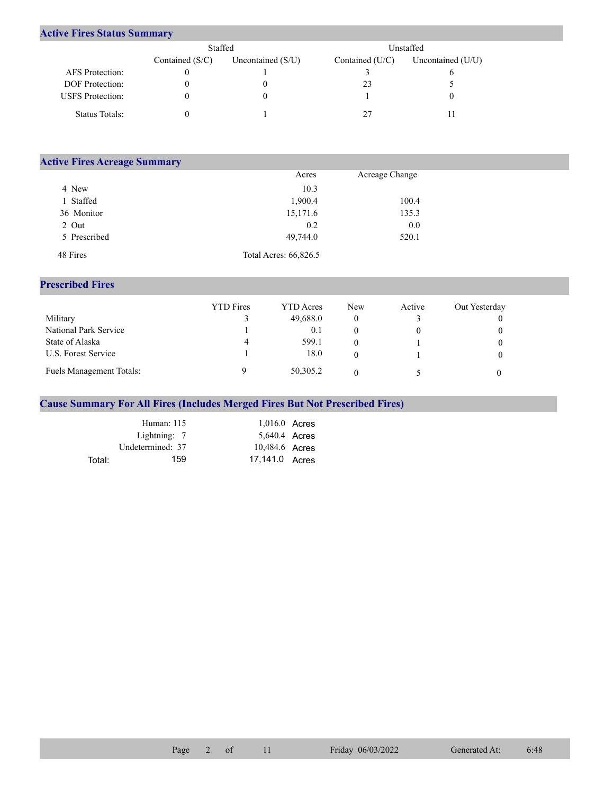## **Active Fires Status Summary**

|                         | Staffed           |                     | Unstaffed       |                     |  |  |
|-------------------------|-------------------|---------------------|-----------------|---------------------|--|--|
|                         | Contained $(S/C)$ | Uncontained $(S/U)$ | Contained (U/C) | Uncontained $(U/U)$ |  |  |
| AFS Protection:         |                   |                     |                 |                     |  |  |
| <b>DOF</b> Protection:  |                   |                     | 23              |                     |  |  |
| <b>USFS</b> Protection: |                   |                     |                 |                     |  |  |
| Status Totals:          |                   |                     |                 |                     |  |  |

| <b>Active Fires Acreage Summary</b> |                       |                |  |  |  |  |  |
|-------------------------------------|-----------------------|----------------|--|--|--|--|--|
|                                     | Acres                 | Acreage Change |  |  |  |  |  |
| 4 New                               | 10.3                  |                |  |  |  |  |  |
| 1 Staffed                           | 1,900.4               | 100.4          |  |  |  |  |  |
| 36 Monitor                          | 15,171.6              | 135.3          |  |  |  |  |  |
| 2 Out                               | 0.2                   | 0.0            |  |  |  |  |  |
| 5 Prescribed                        | 49,744.0              | 520.1          |  |  |  |  |  |
| 48 Fires                            | Total Acres: 66,826.5 |                |  |  |  |  |  |

## **Prescribed Fires**

|                                 | <b>YTD</b> Fires | <b>YTD</b> Acres | <b>New</b> | Active | Out Yesterday |
|---------------------------------|------------------|------------------|------------|--------|---------------|
| Military                        |                  | 49,688.0         |            |        |               |
| National Park Service           |                  | 0.1              |            |        |               |
| State of Alaska                 | 4                | 599.1            |            |        |               |
| U.S. Forest Service             |                  | 18.0             |            |        |               |
| <b>Fuels Management Totals:</b> |                  | 50,305.2         |            |        |               |

## **Cause Summary For All Fires (Includes Merged Fires But Not Prescribed Fires)**

|        | Human: 115       | $1,016.0$ Acres |  |
|--------|------------------|-----------------|--|
|        | Lightning: 7     | 5,640.4 Acres   |  |
|        | Undetermined: 37 | 10,484.6 Acres  |  |
| Total: | 159              | 17.141.0 Acres  |  |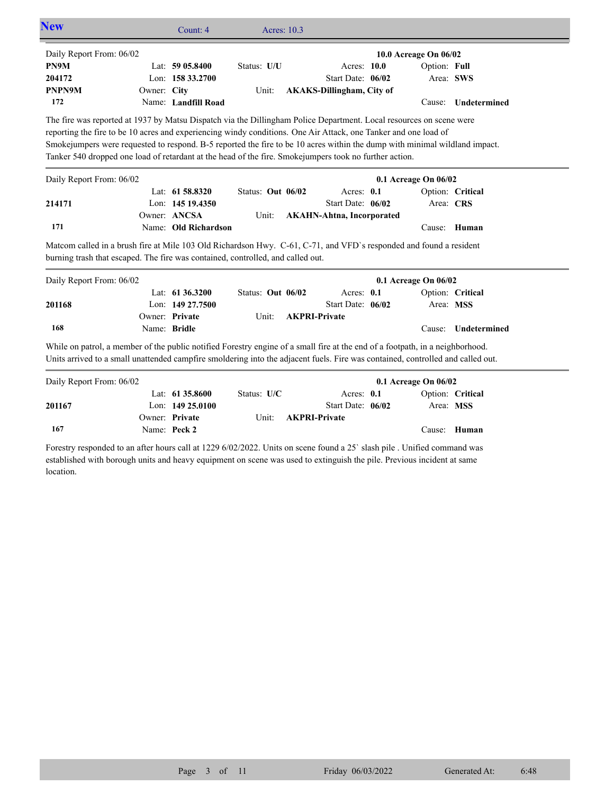|                                                                                                                                                                                                                                                                  |              | Count: 4                           | Acres: 10.3       |                      |                                           |                       |                     |
|------------------------------------------------------------------------------------------------------------------------------------------------------------------------------------------------------------------------------------------------------------------|--------------|------------------------------------|-------------------|----------------------|-------------------------------------------|-----------------------|---------------------|
| Daily Report From: 06/02                                                                                                                                                                                                                                         |              |                                    |                   |                      |                                           | 10.0 Acreage On 06/02 |                     |
| PN9M                                                                                                                                                                                                                                                             |              | Lat: 59 05.8400                    | Status: U/U       |                      | Acres: 10.0                               | Option: Full          |                     |
| 204172                                                                                                                                                                                                                                                           |              | Lon: 158 33.2700                   |                   |                      | Start Date: 06/02                         |                       | Area: SWS           |
| PNPN9M                                                                                                                                                                                                                                                           | Owner: City  |                                    | Unit:             |                      | <b>AKAKS-Dillingham, City of</b>          |                       |                     |
| 172                                                                                                                                                                                                                                                              |              | Name: Landfill Road                |                   |                      |                                           |                       | Cause: Undetermined |
| The fire was reported at 1937 by Matsu Dispatch via the Dillingham Police Department. Local resources on scene were                                                                                                                                              |              |                                    |                   |                      |                                           |                       |                     |
| reporting the fire to be 10 acres and experiencing windy conditions. One Air Attack, one Tanker and one load of                                                                                                                                                  |              |                                    |                   |                      |                                           |                       |                     |
| Smokejumpers were requested to respond. B-5 reported the fire to be 10 acres within the dump with minimal wildland impact.                                                                                                                                       |              |                                    |                   |                      |                                           |                       |                     |
| Tanker 540 dropped one load of retardant at the head of the fire. Smokejumpers took no further action.                                                                                                                                                           |              |                                    |                   |                      |                                           |                       |                     |
| Daily Report From: 06/02                                                                                                                                                                                                                                         |              |                                    |                   |                      |                                           | 0.1 Acreage On 06/02  |                     |
|                                                                                                                                                                                                                                                                  |              | Lat: 61 58.8320                    | Status: Out 06/02 |                      | Acres: 0.1                                |                       | Option: Critical    |
| 214171                                                                                                                                                                                                                                                           |              | Lon: 145 19.4350                   |                   |                      | Start Date: 06/02                         | Area: CRS             |                     |
|                                                                                                                                                                                                                                                                  |              | Owner: ANCSA                       | Unit:             |                      | <b>AKAHN-Ahtna, Incorporated</b>          |                       |                     |
| 171                                                                                                                                                                                                                                                              |              | Name: Old Richardson               |                   |                      |                                           |                       | Cause: Human        |
| Matcom called in a brush fire at Mile 103 Old Richardson Hwy. C-61, C-71, and VFD's responded and found a resident<br>burning trash that escaped. The fire was contained, controlled, and called out.                                                            |              |                                    |                   |                      |                                           |                       |                     |
|                                                                                                                                                                                                                                                                  |              |                                    |                   |                      |                                           |                       |                     |
|                                                                                                                                                                                                                                                                  |              |                                    |                   |                      |                                           | 0.1 Acreage On 06/02  |                     |
|                                                                                                                                                                                                                                                                  |              | Lat: 61 36.3200                    | Status: Out 06/02 |                      | Acres: 0.1                                |                       | Option: Critical    |
|                                                                                                                                                                                                                                                                  |              | Lon: 149 27,7500<br>Owner: Private | Unit:             |                      | Start Date: 06/02<br><b>AKPRI-Private</b> |                       | Area: MSS           |
| 201168<br>168                                                                                                                                                                                                                                                    | Name: Bridle |                                    |                   |                      |                                           | Cause:                | Undetermined        |
|                                                                                                                                                                                                                                                                  |              |                                    |                   |                      |                                           |                       |                     |
|                                                                                                                                                                                                                                                                  |              |                                    |                   |                      |                                           |                       |                     |
|                                                                                                                                                                                                                                                                  |              |                                    |                   |                      |                                           |                       |                     |
| While on patrol, a member of the public notified Forestry engine of a small fire at the end of a footpath, in a neighborhood.<br>Units arrived to a small unattended campfire smoldering into the adjacent fuels. Fire was contained, controlled and called out. |              |                                    |                   |                      |                                           | 0.1 Acreage On 06/02  |                     |
|                                                                                                                                                                                                                                                                  |              | Lat: $61\,35.8600$                 | Status: U/C       |                      | Acres: 0.1                                |                       | Option: Critical    |
| 201167                                                                                                                                                                                                                                                           |              | Lon: $14925.0100$                  |                   |                      | Start Date: 06/02                         |                       | Area: MSS           |
|                                                                                                                                                                                                                                                                  |              | Owner: Private                     | Unit:             | <b>AKPRI-Private</b> |                                           |                       |                     |
| Daily Report From: 06/02<br>Daily Report From: 06/02<br>167                                                                                                                                                                                                      |              | Name: Peck 2                       |                   |                      |                                           |                       | Cause: Human        |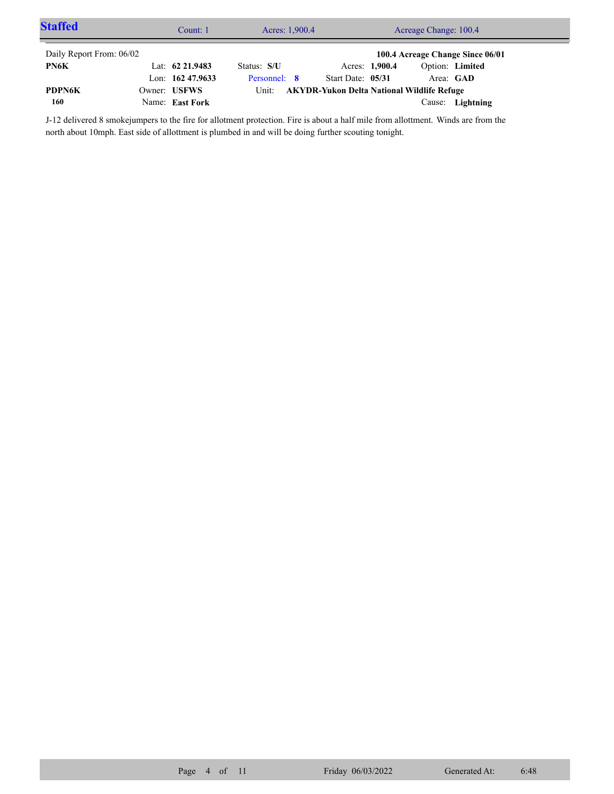| <b>Staffed</b>           | Acres: 1,900.4<br>Count: 1 |              |                                                   | Acreage Change: 100.4 |                 |                                  |  |
|--------------------------|----------------------------|--------------|---------------------------------------------------|-----------------------|-----------------|----------------------------------|--|
| Daily Report From: 06/02 |                            |              |                                                   |                       |                 | 100.4 Acreage Change Since 06/01 |  |
| PN6K                     | Lat: $62\,21.9483$         | Status: S/U  |                                                   | Acres: 1,900.4        | Option: Limited |                                  |  |
|                          | Lon: $162\,47.9633$        | Personnel: 8 | Start Date: 05/31                                 |                       | Area: GAD       |                                  |  |
| <b>PDPN6K</b>            | Owner: USFWS               | Unit:        | <b>AKYDR-Yukon Delta National Wildlife Refuge</b> |                       |                 |                                  |  |
| 160                      | Name: East Fork            |              |                                                   |                       |                 | Cause: Lightning                 |  |

J-12 delivered 8 smokejumpers to the fire for allotment protection. Fire is about a half mile from allottment. Winds are from the north about 10mph. East side of allottment is plumbed in and will be doing further scouting tonight.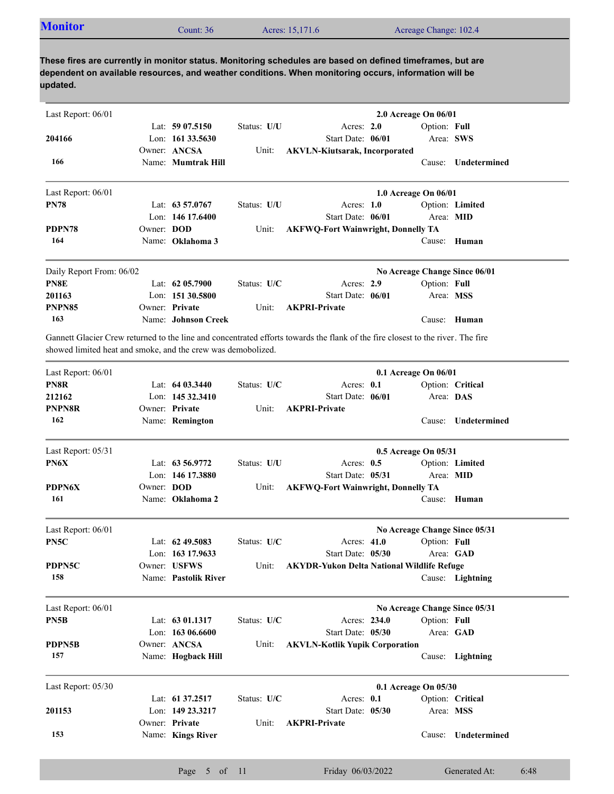| <b>Monitor</b> | `ount: 36 | Acres: 15,171.6 | Acreage Change: 102.4 |
|----------------|-----------|-----------------|-----------------------|
|----------------|-----------|-----------------|-----------------------|

| Last Report: 06/01                                           |            |                      |             |                                                                                                                                 | 2.0 Acreage On 06/01          |                     |
|--------------------------------------------------------------|------------|----------------------|-------------|---------------------------------------------------------------------------------------------------------------------------------|-------------------------------|---------------------|
|                                                              |            | Lat: $5907.5150$     | Status: U/U | Acres: 2.0                                                                                                                      | Option: Full                  |                     |
| 204166                                                       |            | Lon: 161 33.5630     |             | Start Date: 06/01                                                                                                               |                               | Area: SWS           |
|                                                              |            | Owner: ANCSA         | Unit:       | <b>AKVLN-Kiutsarak, Incorporated</b>                                                                                            |                               |                     |
| 166                                                          |            | Name: Mumtrak Hill   |             |                                                                                                                                 |                               | Cause: Undetermined |
| Last Report: 06/01                                           |            |                      |             |                                                                                                                                 | 1.0 Acreage On 06/01          |                     |
| <b>PN78</b>                                                  |            | Lat: 63 57.0767      | Status: U/U | Acres: $1.0$                                                                                                                    |                               | Option: Limited     |
|                                                              |            | Lon: 146 17.6400     |             | Start Date: 06/01                                                                                                               | Area: MID                     |                     |
| PDPN78                                                       | Owner: DOD |                      | Unit:       | <b>AKFWQ-Fort Wainwright, Donnelly TA</b>                                                                                       |                               |                     |
| 164                                                          |            | Name: Oklahoma 3     |             |                                                                                                                                 | Cause:                        | Human               |
| Daily Report From: 06/02                                     |            |                      |             |                                                                                                                                 | No Acreage Change Since 06/01 |                     |
| PN8E                                                         |            | Lat: $6205.7900$     | Status: U/C | Acres: 2.9                                                                                                                      | Option: Full                  |                     |
| 201163                                                       |            | Lon: 151 30.5800     |             | Start Date: 06/01                                                                                                               | Area: MSS                     |                     |
| PNPN85                                                       |            | Owner: Private       | Unit:       | <b>AKPRI-Private</b>                                                                                                            |                               |                     |
| 163                                                          |            | Name: Johnson Creek  |             |                                                                                                                                 |                               | Cause: Human        |
| showed limited heat and smoke, and the crew was demobolized. |            |                      |             | Gannett Glacier Crew returned to the line and concentrated efforts towards the flank of the fire closest to the river. The fire |                               |                     |
| Last Report: 06/01                                           |            |                      |             |                                                                                                                                 | 0.1 Acreage On 06/01          |                     |
| PN8R                                                         |            | Lat: $6403.3440$     | Status: U/C | Acres: 0.1                                                                                                                      |                               | Option: Critical    |
| 212162                                                       |            | Lon: 145 32.3410     |             | Start Date: 06/01                                                                                                               | Area: DAS                     |                     |
| <b>PNPN8R</b>                                                |            | Owner: Private       | Unit:       | <b>AKPRI-Private</b>                                                                                                            |                               |                     |
| 162                                                          |            | Name: Remington      |             |                                                                                                                                 | Cause:                        | Undetermined        |
| Last Report: 05/31                                           |            |                      |             |                                                                                                                                 | 0.5 Acreage On 05/31          |                     |
| PN6X                                                         |            | Lat: 63 56.9772      | Status: U/U | Acres: 0.5                                                                                                                      |                               | Option: Limited     |
|                                                              |            | Lon: 146 17.3880     |             | Start Date: 05/31                                                                                                               | Area: MID                     |                     |
| PDPN6X                                                       | Owner: DOD |                      | Unit:       | <b>AKFWQ-Fort Wainwright, Donnelly TA</b>                                                                                       |                               |                     |
| 161                                                          |            | Name: Oklahoma 2     |             |                                                                                                                                 | Cause:                        | Human               |
| Last Report: 06/01                                           |            |                      |             |                                                                                                                                 | No Acreage Change Since 05/31 |                     |
| PN5C                                                         |            | Lat: $62\,49.5083$   | Status: U/C | Acres: 41.0                                                                                                                     | Option: Full                  |                     |
|                                                              |            | Lon: 163 17.9633     |             | Start Date: 05/30                                                                                                               | Area: GAD                     |                     |
| PDPN5C                                                       |            | Owner: USFWS         | Unit:       | <b>AKYDR-Yukon Delta National Wildlife Refuge</b>                                                                               |                               |                     |
| 158                                                          |            | Name: Pastolik River |             |                                                                                                                                 |                               | Cause: Lightning    |
| Last Report: 06/01                                           |            |                      |             |                                                                                                                                 | No Acreage Change Since 05/31 |                     |
| PN5B                                                         |            | Lat: 63 01.1317      | Status: U/C | Acres: 234.0                                                                                                                    | Option: Full                  |                     |
|                                                              |            | Lon: 163 06.6600     |             | Start Date: 05/30                                                                                                               |                               | Area: GAD           |
| <b>PDPN5B</b>                                                |            | Owner: ANCSA         | Unit:       | <b>AKVLN-Kotlik Yupik Corporation</b>                                                                                           |                               |                     |
| 157                                                          |            | Name: Hogback Hill   |             |                                                                                                                                 |                               | Cause: Lightning    |
| Last Report: 05/30                                           |            |                      |             |                                                                                                                                 | 0.1 Acreage On 05/30          |                     |
|                                                              |            | Lat: 61 37.2517      | Status: U/C | Acres: 0.1                                                                                                                      |                               | Option: Critical    |
| 201153                                                       |            | Lon: 149 23.3217     |             | Start Date: 05/30                                                                                                               | Area: MSS                     |                     |
|                                                              |            | Owner: Private       | Unit:       | <b>AKPRI-Private</b>                                                                                                            |                               |                     |
| 153                                                          |            | Name: Kings River    |             |                                                                                                                                 |                               | Cause: Undetermined |
|                                                              |            |                      |             |                                                                                                                                 |                               |                     |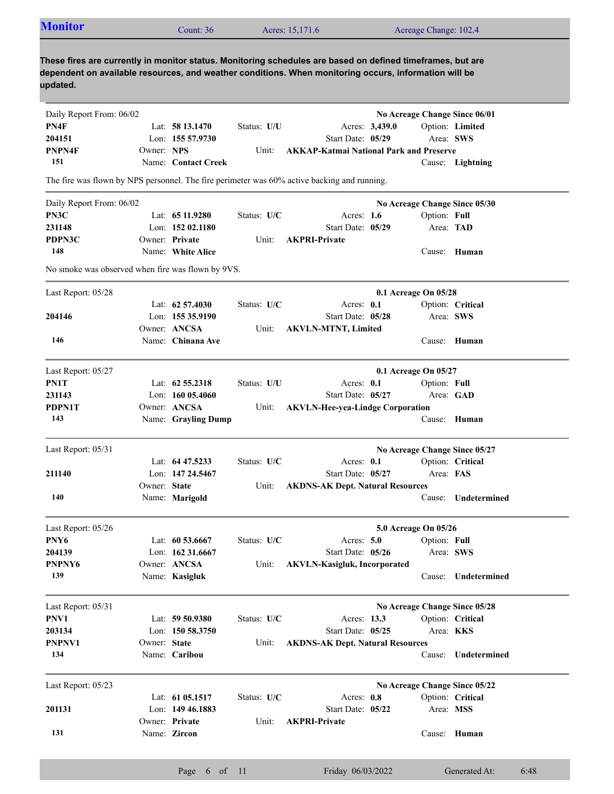| <b>Monitor</b>                                                                                                                                                                                                                  |              | Count: 36                      |               | Acres: 15,171.6                                |              |                | Acreage Change: 102.4 |                               |
|---------------------------------------------------------------------------------------------------------------------------------------------------------------------------------------------------------------------------------|--------------|--------------------------------|---------------|------------------------------------------------|--------------|----------------|-----------------------|-------------------------------|
| These fires are currently in monitor status. Monitoring schedules are based on defined timeframes, but are<br>dependent on available resources, and weather conditions. When monitoring occurs, information will be<br>updated. |              |                                |               |                                                |              |                |                       |                               |
| Daily Report From: 06/02                                                                                                                                                                                                        |              |                                |               |                                                |              |                |                       | No Acreage Change Since 06/01 |
| PN4F                                                                                                                                                                                                                            |              | Lat: $5813.1470$               | Status: U/U   |                                                |              | Acres: 3,439.0 |                       | Option: Limited               |
| 204151                                                                                                                                                                                                                          |              | Lon: 155 57.9730               |               | Start Date: 05/29                              |              |                | Area: SWS             |                               |
| PNPN4F                                                                                                                                                                                                                          | Owner: NPS   |                                | Unit:         | <b>AKKAP-Katmai National Park and Preserve</b> |              |                |                       |                               |
| 151                                                                                                                                                                                                                             |              | Name: Contact Creek            |               |                                                |              |                |                       | Cause: Lightning              |
| The fire was flown by NPS personnel. The fire perimeter was 60% active backing and running.                                                                                                                                     |              |                                |               |                                                |              |                |                       |                               |
| Daily Report From: 06/02                                                                                                                                                                                                        |              |                                |               |                                                |              |                |                       | No Acreage Change Since 05/30 |
| PN3C                                                                                                                                                                                                                            |              | Lat: 65 11.9280                | Status: U/C   |                                                | Acres: $1.6$ |                | Option: Full          |                               |
| 231148                                                                                                                                                                                                                          |              | Lon: $15202.1180$              |               | Start Date: 05/29                              |              |                | Area: TAD             |                               |
| PDPN3C                                                                                                                                                                                                                          |              | Owner: Private                 | Unit:         | <b>AKPRI-Private</b>                           |              |                |                       |                               |
| 148                                                                                                                                                                                                                             |              | Name: White Alice              |               |                                                |              |                |                       | Cause: Human                  |
| No smoke was observed when fire was flown by 9VS.                                                                                                                                                                               |              |                                |               |                                                |              |                |                       |                               |
| Last Report: 05/28                                                                                                                                                                                                              |              |                                |               |                                                |              |                | 0.1 Acreage On 05/28  |                               |
|                                                                                                                                                                                                                                 |              | Lat: $62\,57.4030$             | Status: U/C   |                                                | Acres: $0.1$ |                |                       | Option: Critical              |
| 204146                                                                                                                                                                                                                          |              | Lon: 155 35.9190               |               | Start Date: 05/28                              |              |                | Area: SWS             |                               |
|                                                                                                                                                                                                                                 |              | Owner: ANCSA                   | Unit:         | <b>AKVLN-MTNT, Limited</b>                     |              |                |                       |                               |
| 146                                                                                                                                                                                                                             |              | Name: Chinana Ave              |               |                                                |              |                |                       | Cause: Human                  |
|                                                                                                                                                                                                                                 |              |                                |               |                                                |              |                |                       |                               |
| Last Report: 05/27                                                                                                                                                                                                              |              |                                |               |                                                |              |                | 0.1 Acreage On 05/27  |                               |
| PN1T                                                                                                                                                                                                                            |              | Lat: $62\,55.2318$             | Status: U/U   |                                                | Acres: 0.1   |                | Option: Full          |                               |
| 231143                                                                                                                                                                                                                          |              | Lon: $16005.4060$              |               | Start Date: 05/27                              |              |                |                       | Area: GAD                     |
| <b>PDPN1T</b>                                                                                                                                                                                                                   |              | Owner: ANCSA                   | Unit:         | <b>AKVLN-Hee-yea-Lindge Corporation</b>        |              |                |                       |                               |
| 143                                                                                                                                                                                                                             |              | Name: Grayling Dump            |               |                                                |              |                |                       | Cause: Human                  |
| Last Report: 05/31                                                                                                                                                                                                              |              |                                |               |                                                |              |                |                       | No Acreage Change Since 05/27 |
|                                                                                                                                                                                                                                 |              | Lat: $64\,47.5233$             | Status: $U/C$ |                                                | Acres: $0.1$ |                |                       | Option: Critical              |
| 211140                                                                                                                                                                                                                          |              | Lon: 147 24.5467               |               | Start Date: 05/27                              |              |                | Area: FAS             |                               |
|                                                                                                                                                                                                                                 | Owner: State |                                | Unit:         | <b>AKDNS-AK Dept. Natural Resources</b>        |              |                |                       |                               |
| 140                                                                                                                                                                                                                             |              | Name: Marigold                 |               |                                                |              |                |                       | Cause: Undetermined           |
|                                                                                                                                                                                                                                 |              |                                |               |                                                |              |                |                       |                               |
| Last Report: 05/26                                                                                                                                                                                                              |              |                                |               |                                                |              |                | 5.0 Acreage On 05/26  |                               |
| PNY <sub>6</sub>                                                                                                                                                                                                                |              | Lat: 60 53.6667                | Status: U/C   |                                                | Acres: $5.0$ |                | Option: Full          |                               |
| 204139                                                                                                                                                                                                                          |              | Lon: 162 31.6667               |               | Start Date: 05/26                              |              |                | Area: SWS             |                               |
| PNPNY6<br>139                                                                                                                                                                                                                   |              | Owner: ANCSA<br>Name: Kasigluk | Unit:         | <b>AKVLN-Kasigluk, Incorporated</b>            |              |                |                       | Cause: Undetermined           |
|                                                                                                                                                                                                                                 |              |                                |               |                                                |              |                |                       |                               |
| Last Report: 05/31                                                                                                                                                                                                              |              |                                |               |                                                |              |                |                       | No Acreage Change Since 05/28 |
| PNV1                                                                                                                                                                                                                            |              | Lat: 59 50.9380                | Status: U/C   |                                                | Acres: 13.3  |                |                       | Option: Critical              |
| 203134                                                                                                                                                                                                                          |              | Lon: 150 58.3750               |               | Start Date: 05/25                              |              |                | Area: KKS             |                               |
| PNPNV1                                                                                                                                                                                                                          | Owner: State |                                | Unit:         | <b>AKDNS-AK Dept. Natural Resources</b>        |              |                |                       |                               |
| 134                                                                                                                                                                                                                             |              | Name: Caribou                  |               |                                                |              |                |                       | Cause: Undetermined           |
| Last Report: 05/23                                                                                                                                                                                                              |              |                                |               |                                                |              |                |                       | No Acreage Change Since 05/22 |
|                                                                                                                                                                                                                                 |              | Lat: 61 05.1517                | Status: U/C   |                                                | Acres: 0.8   |                |                       | Option: Critical              |
| 201131                                                                                                                                                                                                                          |              | Lon: 149 46.1883               |               | Start Date: 05/22                              |              |                | Area: MSS             |                               |
|                                                                                                                                                                                                                                 |              | Owner: Private                 | Unit:         | <b>AKPRI-Private</b>                           |              |                |                       |                               |
| 131                                                                                                                                                                                                                             |              | Name: Zircon                   |               |                                                |              |                |                       | Cause: Human                  |
|                                                                                                                                                                                                                                 |              |                                |               |                                                |              |                |                       |                               |

Page 6 of 11 Friday 06/03/2022 Generated At: 6:48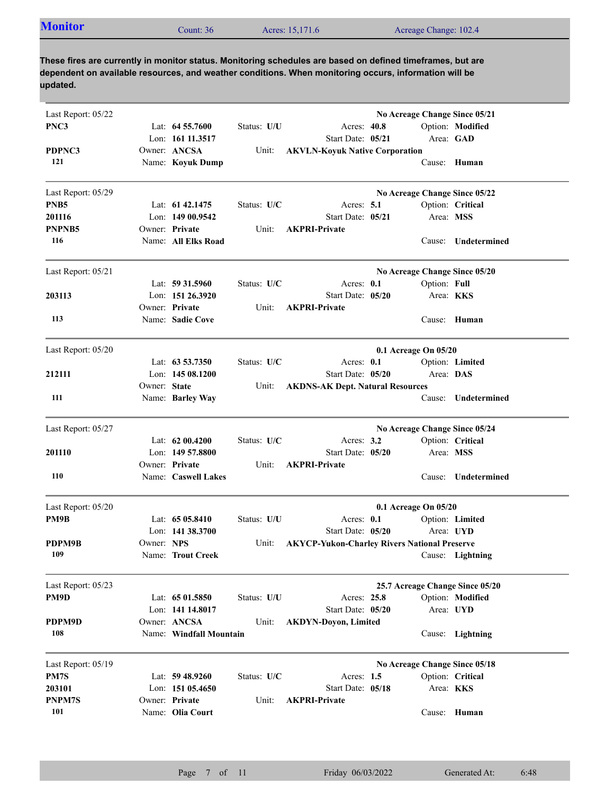| <b>Monitor</b> | Count: 36 | Acres: 15,171.6 | Acreage Change: 102.4 |  |
|----------------|-----------|-----------------|-----------------------|--|
|----------------|-----------|-----------------|-----------------------|--|

| Last Report: 05/22<br>PNC3                       |              | Lat: $64\,55.7600$<br>Lon: 161 11.3517                  | Status: U/U          | Acres: 40.8<br>Start Date: 05/21                                           |                      |              | No Acreage Change Since 05/21<br>Option: Modified<br>Area: GAD |
|--------------------------------------------------|--------------|---------------------------------------------------------|----------------------|----------------------------------------------------------------------------|----------------------|--------------|----------------------------------------------------------------|
| PDPNC3<br>121                                    |              | Owner: ANCSA<br>Name: Koyuk Dump                        | Unit:                | <b>AKVLN-Koyuk Native Corporation</b>                                      |                      |              | Cause: Human                                                   |
| Last Report: 05/29<br>PNB <sub>5</sub><br>201116 |              | Lat: $61\,42.1475$<br>Lon: 149 00.9542                  | Status: U/C          | Acres: $5.1$<br>Start Date: 05/21                                          |                      | Area: MSS    | No Acreage Change Since 05/22<br>Option: Critical              |
| PNPNB5<br>116                                    |              | Owner: Private<br>Name: All Elks Road                   | Unit:                | <b>AKPRI-Private</b>                                                       |                      | Cause:       | Undetermined                                                   |
| Last Report: 05/21                               |              | Lat: 59 31.5960                                         | Status: U/C          | Acres: 0.1                                                                 |                      | Option: Full | No Acreage Change Since 05/20                                  |
| 203113                                           |              | Lon: 151 26.3920<br>Owner: Private                      | Unit:                | Start Date: 05/20<br><b>AKPRI-Private</b>                                  |                      |              | Area: <b>KKS</b>                                               |
| 113                                              |              | Name: Sadie Cove                                        |                      |                                                                            |                      |              | Cause: Human                                                   |
| Last Report: 05/20                               |              |                                                         |                      |                                                                            | 0.1 Acreage On 05/20 |              |                                                                |
| 212111                                           | Owner: State | Lat: $63\,53.7350$<br>Lon: $14508.1200$                 | Status: U/C<br>Unit: | Acres: 0.1<br>Start Date: 05/20<br><b>AKDNS-AK Dept. Natural Resources</b> |                      | Area: DAS    | Option: Limited                                                |
| 111                                              |              | Name: Barley Way                                        |                      |                                                                            |                      | Cause:       | Undetermined                                                   |
| Last Report: 05/27                               |              |                                                         |                      |                                                                            |                      |              | No Acreage Change Since 05/24                                  |
| 201110                                           |              | Lat: $6200.4200$<br>Lon: $14957.8800$<br>Owner: Private | Status: U/C<br>Unit: | Acres: $3.2$<br>Start Date: 05/20<br><b>AKPRI-Private</b>                  |                      | Area: MSS    | Option: Critical                                               |
| 110                                              |              | Name: Caswell Lakes                                     |                      |                                                                            |                      | Cause:       | Undetermined                                                   |
| Last Report: 05/20                               |              |                                                         |                      |                                                                            | 0.1 Acreage On 05/20 |              |                                                                |
| PM9B                                             |              | Lat: $6505.8410$<br>Lon: $141\,38.3700$                 | Status: U/U          | Acres: $0.1$<br>Start Date: 05/20                                          |                      |              | Option: Limited<br>Area: UYD                                   |
| PDPM9B                                           | Owner: NPS   |                                                         | Unit:                | <b>AKYCP-Yukon-Charley Rivers National Preserve</b>                        |                      |              |                                                                |
| 109                                              |              | Name: Trout Creek                                       |                      |                                                                            |                      |              | Cause: Lightning                                               |
| Last Report: 05/23                               |              |                                                         |                      |                                                                            |                      |              | 25.7 Acreage Change Since 05/20                                |
| PM9D                                             |              | Lat: 65 01.5850<br>Lon: 141 14.8017                     | Status: U/U          | Acres: 25.8<br>Start Date: 05/20                                           |                      |              | Option: Modified<br>Area: UYD                                  |
| PDPM9D<br>108                                    |              | Owner: ANCSA<br>Name: Windfall Mountain                 | Unit:                | <b>AKDYN-Doyon, Limited</b>                                                |                      |              | Cause: Lightning                                               |
| Last Report: 05/19                               |              |                                                         |                      |                                                                            |                      |              | No Acreage Change Since 05/18                                  |
| PM7S                                             |              | Lat: 59 48.9260                                         | Status: U/C          | Acres: $1.5$                                                               |                      |              | Option: Critical                                               |
| 203101                                           |              | Lon: 151 05.4650                                        |                      | Start Date: 05/18                                                          |                      |              | Area: KKS                                                      |
| PNPM7S<br>101                                    |              | Owner: Private<br>Name: Olia Court                      | Unit:                | <b>AKPRI-Private</b>                                                       |                      |              | Cause: Human                                                   |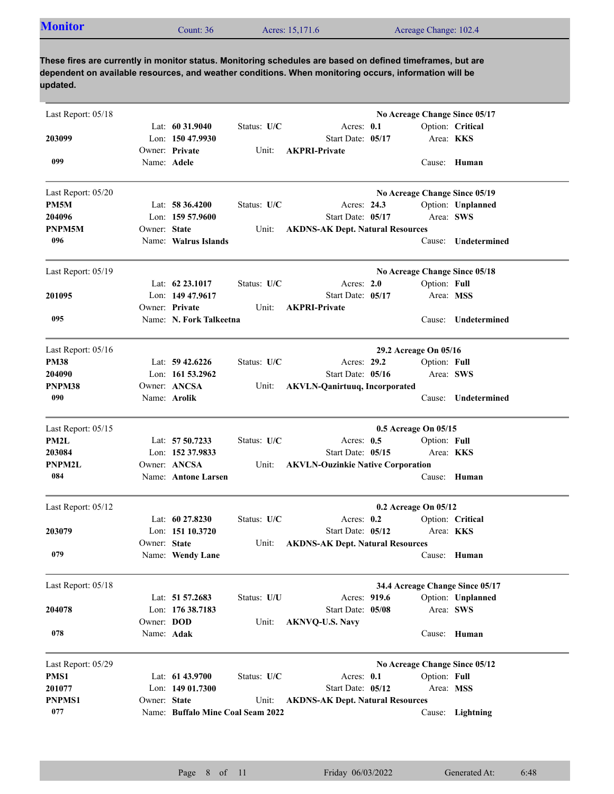| <b>Monitor</b> | Count: 36 | Acres: 15,171.6 | Acreage Change: 102.4 |  |
|----------------|-----------|-----------------|-----------------------|--|
|----------------|-----------|-----------------|-----------------------|--|

| Last Report: 05/18 |              |                                        |             |                                          |                       |              | No Acreage Change Since 05/17        |
|--------------------|--------------|----------------------------------------|-------------|------------------------------------------|-----------------------|--------------|--------------------------------------|
| 203099             |              | Lat: $60\,31.9040$<br>Lon: 150 47.9930 | Status: U/C | Acres: 0.1<br>Start Date: 05/17          |                       |              | Option: Critical<br>Area: <b>KKS</b> |
| 099                | Name: Adele  | Owner: Private                         | Unit:       | <b>AKPRI-Private</b>                     |                       |              | Cause: Human                         |
| Last Report: 05/20 |              |                                        |             |                                          |                       |              | No Acreage Change Since 05/19        |
| PM5M               |              | Lat: $58\,36.4200$                     | Status: U/C | Acres: 24.3                              |                       |              | Option: Unplanned                    |
| 204096             |              | Lon: $15957.9600$                      |             | Start Date: 05/17                        |                       | Area: SWS    |                                      |
| PNPM5M             | Owner: State |                                        | Unit:       | <b>AKDNS-AK Dept. Natural Resources</b>  |                       |              |                                      |
| 096                |              | Name: Walrus Islands                   |             |                                          |                       | Cause:       | Undetermined                         |
| Last Report: 05/19 |              |                                        |             |                                          |                       |              | No Acreage Change Since 05/18        |
|                    |              | Lat: 62 23.1017                        | Status: U/C | Acres: $2.0$                             |                       | Option: Full |                                      |
| 201095             |              | Lon: 149 47.9617                       |             | Start Date: 05/17                        |                       |              | Area: MSS                            |
|                    |              | Owner: Private                         | Unit:       | <b>AKPRI-Private</b>                     |                       |              |                                      |
| 095                |              | Name: N. Fork Talkeetna                |             |                                          |                       | Cause:       | Undetermined                         |
| Last Report: 05/16 |              |                                        |             |                                          | 29.2 Acreage On 05/16 |              |                                      |
| <b>PM38</b>        |              | Lat: $59\,42.6226$                     | Status: U/C | Acres: 29.2                              |                       | Option: Full |                                      |
| 204090             |              | Lon: $161\,53.2962$                    |             | Start Date: 05/16                        |                       | Area: SWS    |                                      |
| PNPM38             |              | Owner: ANCSA                           | Unit:       | <b>AKVLN-Qanirtuuq, Incorporated</b>     |                       |              |                                      |
| 090                |              | Name: Arolik                           |             |                                          |                       | Cause:       | Undetermined                         |
| Last Report: 05/15 |              |                                        |             |                                          | 0.5 Acreage On 05/15  |              |                                      |
| PM2L               |              | Lat: 57 50.7233                        | Status: U/C | Acres: $0.5$                             |                       | Option: Full |                                      |
| 203084             |              | Lon: 152 37.9833                       |             | Start Date: 05/15                        |                       |              | Area: <b>KKS</b>                     |
| <b>PNPM2L</b>      |              | Owner: ANCSA                           | Unit:       | <b>AKVLN-Ouzinkie Native Corporation</b> |                       |              |                                      |
| 084                |              | Name: Antone Larsen                    |             |                                          |                       |              | Cause: Human                         |
| Last Report: 05/12 |              |                                        |             |                                          | 0.2 Acreage On 05/12  |              |                                      |
|                    |              | Lat: $6027.8230$                       | Status: U/C | Acres: $0.2$                             |                       |              | Option: Critical                     |
| 203079             |              | Lon: $15110.3720$                      |             | Start Date: 05/12                        |                       |              | Area: KKS                            |
|                    | Owner: State |                                        | Unit:       | <b>AKDNS-AK Dept. Natural Resources</b>  |                       |              |                                      |
| 079                |              | Name: Wendy Lane                       |             |                                          |                       |              | Cause: Human                         |
| Last Report: 05/18 |              |                                        |             |                                          |                       |              | 34.4 Acreage Change Since 05/17      |
|                    |              | Lat: 51 57.2683                        | Status: U/U | Acres: 919.6                             |                       |              | Option: Unplanned                    |
| 204078             |              | Lon: 176 38.7183                       |             | Start Date: 05/08                        |                       |              | Area: SWS                            |
|                    | Owner: DOD   |                                        | Unit:       | <b>AKNVQ-U.S. Navy</b>                   |                       |              |                                      |
| 078                | Name: Adak   |                                        |             |                                          |                       |              | Cause: Human                         |
| Last Report: 05/29 |              |                                        |             |                                          |                       |              | No Acreage Change Since 05/12        |
| PMS1               |              | Lat: 61 43.9700                        | Status: U/C | Acres: 0.1                               |                       | Option: Full |                                      |
| 201077             |              | Lon: 149 01.7300                       |             | Start Date: 05/12                        |                       |              | Area: MSS                            |
| <b>PNPMS1</b>      | Owner: State |                                        | Unit:       | <b>AKDNS-AK Dept. Natural Resources</b>  |                       |              |                                      |
| 077                |              | Name: Buffalo Mine Coal Seam 2022      |             |                                          |                       |              | Cause: Lightning                     |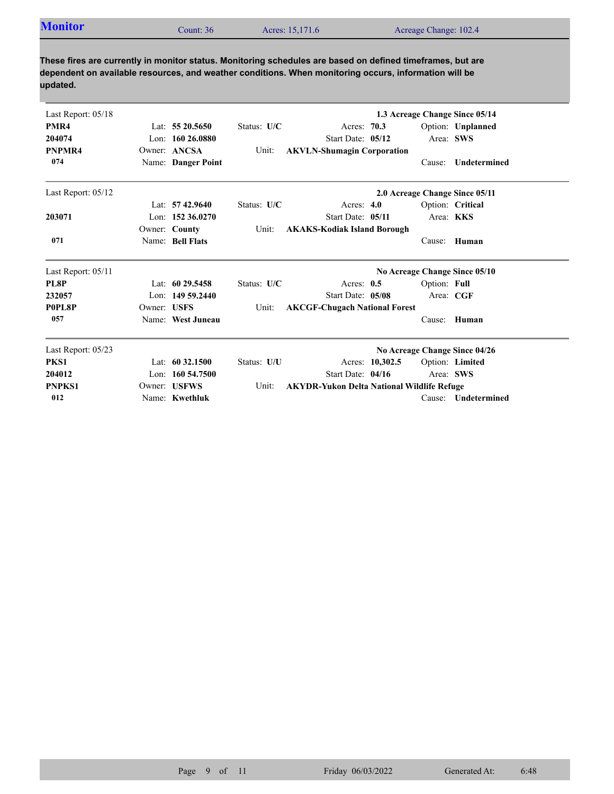| <b>Monitor</b> | Count: 36 | Acres: 15,171.6 | Acreage Change: 102.4 |
|----------------|-----------|-----------------|-----------------------|
|                |           |                 |                       |

| Last Report: 05/18 |             |                     | 1.3 Acreage Change Since 05/14 |                                                   |              |                                |  |
|--------------------|-------------|---------------------|--------------------------------|---------------------------------------------------|--------------|--------------------------------|--|
| PMR4               |             | Lat: $5520.5650$    | Status: U/C                    | Acres: 70.3                                       |              | Option: Unplanned              |  |
| 204074             |             | Lon: $16026.0880$   |                                | Start Date: 05/12                                 |              | Area: SWS                      |  |
| PNPMR4             |             | Owner: ANCSA        | Unit:                          | <b>AKVLN-Shumagin Corporation</b>                 |              |                                |  |
| 074                |             | Name: Danger Point  |                                |                                                   | Cause:       | <b>Undetermined</b>            |  |
| Last Report: 05/12 |             |                     |                                |                                                   |              | 2.0 Acreage Change Since 05/11 |  |
|                    |             | Lat: $57\,42.9640$  | Status: U/C                    | Acres: $4.0$                                      |              | Option: Critical               |  |
| 203071             |             | Lon: $15236.0270$   |                                | Start Date: 05/11                                 |              | Area: KKS                      |  |
|                    |             | Owner: County       | Unit:                          | <b>AKAKS-Kodiak Island Borough</b>                |              |                                |  |
| 071                |             | Name: Bell Flats    |                                |                                                   |              | Cause: Human                   |  |
| Last Report: 05/11 |             |                     |                                |                                                   |              | No Acreage Change Since 05/10  |  |
| PL8P               |             | Lat: $6029.5458$    | Status: U/C                    | Acres: $0.5$                                      | Option: Full |                                |  |
| 232057             |             | Lon: $14959.2440$   |                                | Start Date: 05/08                                 |              | Area: CGF                      |  |
| P0PL8P             | Owner: USFS |                     | Unit:                          | <b>AKCGF-Chugach National Forest</b>              |              |                                |  |
| 057                |             | Name: West Juneau   |                                |                                                   | Cause:       | Human                          |  |
| Last Report: 05/23 |             |                     |                                |                                                   |              | No Acreage Change Since 04/26  |  |
| PKS1               |             | Lat: $60\,32.1500$  | Status: U/U                    | Acres: 10,302.5                                   |              | Option: Limited                |  |
| 204012             |             | Lon: $160\,54.7500$ |                                | Start Date: 04/16                                 |              | Area: SWS                      |  |
| <b>PNPKS1</b>      |             | Owner: USFWS        | Unit:                          | <b>AKYDR-Yukon Delta National Wildlife Refuge</b> |              |                                |  |
| 012                |             | Name: Kwethluk      |                                |                                                   | Cause:       | <b>Undetermined</b>            |  |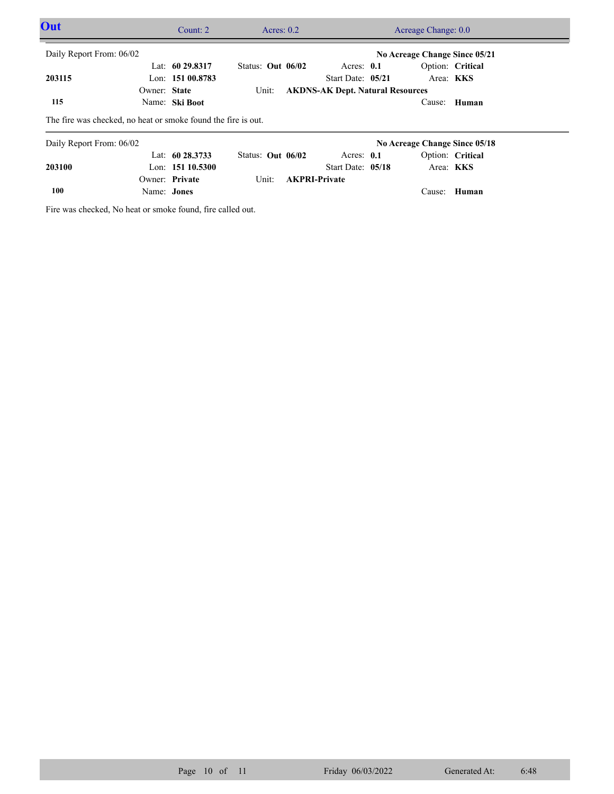| Out                                                           |                               | Count: $2$         | Acres: $0.2$        |  | Acreage Change: 0.0                     |  |                               |                  |  |
|---------------------------------------------------------------|-------------------------------|--------------------|---------------------|--|-----------------------------------------|--|-------------------------------|------------------|--|
| Daily Report From: 06/02                                      | No Acreage Change Since 05/21 |                    |                     |  |                                         |  |                               |                  |  |
|                                                               |                               | Lat: $60\,29.8317$ | Status: Out $06/02$ |  | Acres: $0.1$                            |  |                               | Option: Critical |  |
| 203115                                                        |                               | Lon: $15100.8783$  |                     |  | Start Date: 05/21                       |  |                               | Area: <b>KKS</b> |  |
|                                                               | Owner: State                  |                    | Unit:               |  | <b>AKDNS-AK Dept. Natural Resources</b> |  |                               |                  |  |
| 115                                                           |                               | Name: Ski Boot     |                     |  |                                         |  |                               | Cause: Human     |  |
| The fire was checked, no heat or smoke found the fire is out. |                               |                    |                     |  |                                         |  |                               |                  |  |
| Daily Report From: 06/02                                      |                               |                    |                     |  |                                         |  | No Acreage Change Since 05/18 |                  |  |
|                                                               |                               | Lat: $60\,28.3733$ | Status: Out 06/02   |  | Acres: $0.1$                            |  |                               | Option: Critical |  |
| 203100                                                        |                               | Lon: $15110.5300$  |                     |  | Start Date: 05/18                       |  |                               | Area: <b>KKS</b> |  |

Name: **Jones** Owner: Private Unit: **AKPRI-Private 100**

Fire was checked, No heat or smoke found, fire called out.

Cause: **Human**